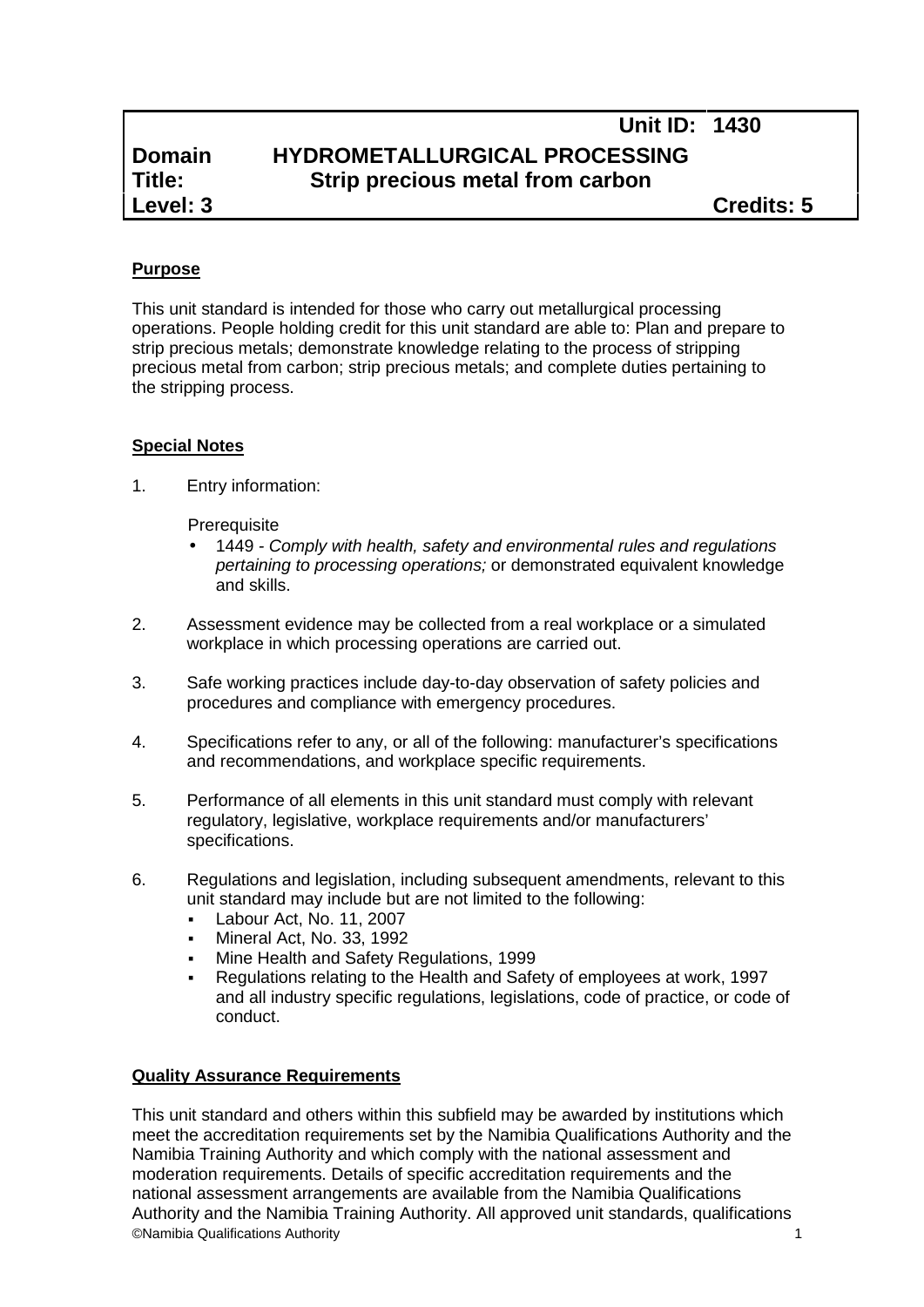# **Unit ID: 1430 Domain HYDROMETALLURGICAL PROCESSING<br>
<b>Title:** Strip precious metal from carbon **Title: Strip precious metal from carbon**

**Level: 3 Credits: 5**

## **Purpose**

This unit standard is intended for those who carry out metallurgical processing operations. People holding credit for this unit standard are able to: Plan and prepare to strip precious metals; demonstrate knowledge relating to the process of stripping precious metal from carbon; strip precious metals; and complete duties pertaining to the stripping process.

#### **Special Notes**

1. Entry information:

**Prerequisite** 

- 1449 *- Comply with health, safety and environmental rules and regulations pertaining to processing operations;* or demonstrated equivalent knowledge and skills.
- 2. Assessment evidence may be collected from a real workplace or a simulated workplace in which processing operations are carried out.
- 3. Safe working practices include day-to-day observation of safety policies and procedures and compliance with emergency procedures.
- 4. Specifications refer to any, or all of the following: manufacturer's specifications and recommendations, and workplace specific requirements.
- 5. Performance of all elements in this unit standard must comply with relevant regulatory, legislative, workplace requirements and/or manufacturers' specifications.
- 6. Regulations and legislation, including subsequent amendments, relevant to this unit standard may include but are not limited to the following:
	- **Labour Act, No. 11, 2007**
	- Mineral Act, No. 33, 1992
	- Mine Health and Safety Regulations, 1999
	- Regulations relating to the Health and Safety of employees at work, 1997 and all industry specific regulations, legislations, code of practice, or code of conduct.

#### **Quality Assurance Requirements**

©Namibia Qualifications Authority 1 This unit standard and others within this subfield may be awarded by institutions which meet the accreditation requirements set by the Namibia Qualifications Authority and the Namibia Training Authority and which comply with the national assessment and moderation requirements. Details of specific accreditation requirements and the national assessment arrangements are available from the Namibia Qualifications Authority and the Namibia Training Authority. All approved unit standards, qualifications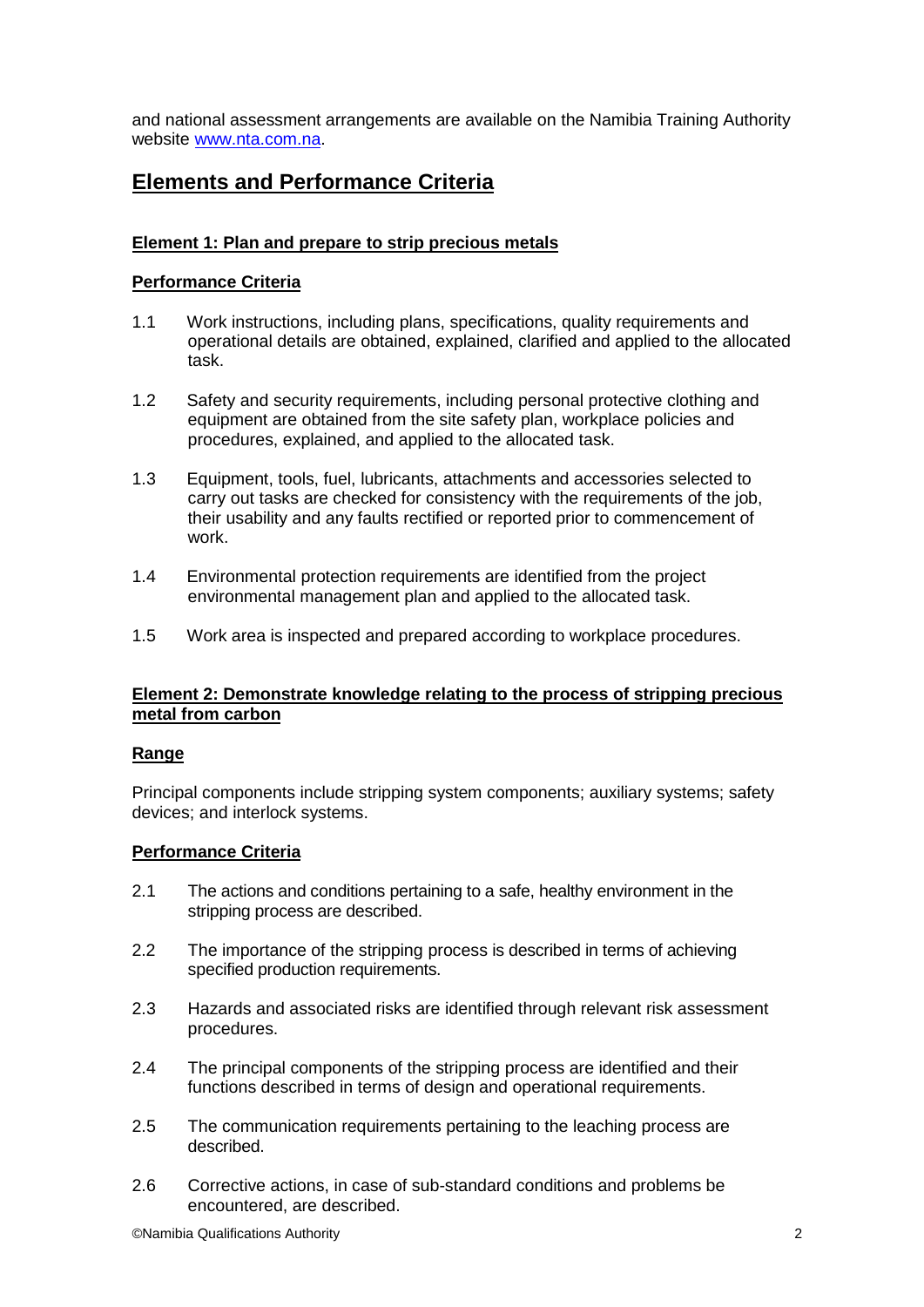and national assessment arrangements are available on the Namibia Training Authority website www.nta.com.na.

## **Elements and Performance Criteria**

## **Element 1: Plan and prepare to strip precious metals**

#### **Performance Criteria**

- 1.1 Work instructions, including plans, specifications, quality requirements and operational details are obtained, explained, clarified and applied to the allocated task.
- 1.2 Safety and security requirements, including personal protective clothing and equipment are obtained from the site safety plan, workplace policies and procedures, explained, and applied to the allocated task.
- 1.3 Equipment, tools, fuel, lubricants, attachments and accessories selected to carry out tasks are checked for consistency with the requirements of the job, their usability and any faults rectified or reported prior to commencement of work.
- 1.4 Environmental protection requirements are identified from the project environmental management plan and applied to the allocated task.
- 1.5 Work area is inspected and prepared according to workplace procedures.

#### **Element 2: Demonstrate knowledge relating to the process of stripping precious metal from carbon**

#### **Range**

Principal components include stripping system components; auxiliary systems; safety devices; and interlock systems.

#### **Performance Criteria**

- 2.1 The actions and conditions pertaining to a safe, healthy environment in the stripping process are described.
- 2.2 The importance of the stripping process is described in terms of achieving specified production requirements.
- 2.3 Hazards and associated risks are identified through relevant risk assessment procedures.
- 2.4 The principal components of the stripping process are identified and their functions described in terms of design and operational requirements.
- 2.5 The communication requirements pertaining to the leaching process are described.
- 2.6 Corrective actions, in case of sub-standard conditions and problems be encountered, are described.